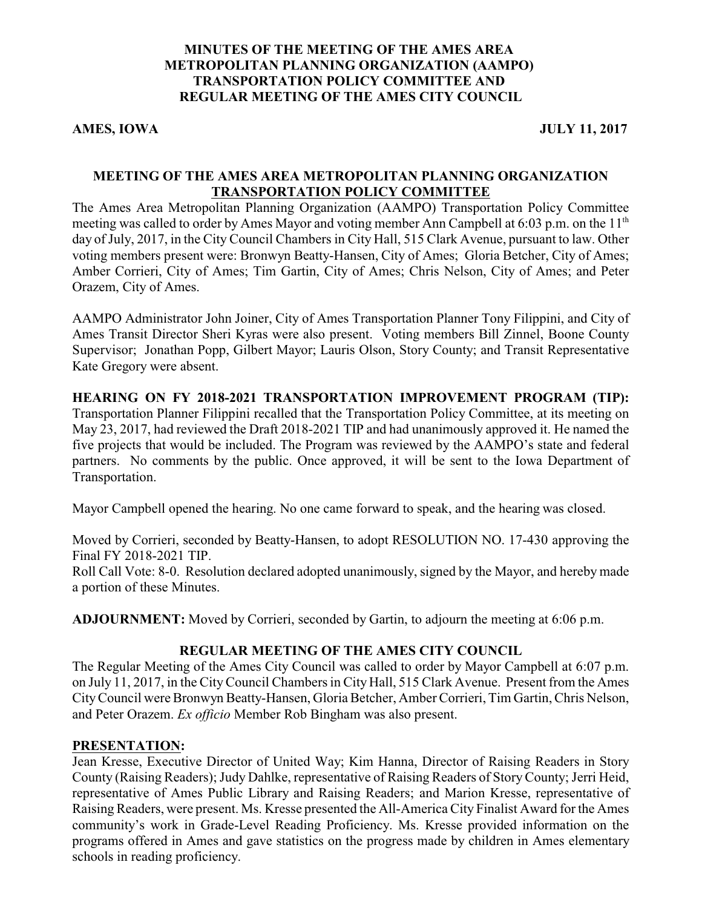# **MINUTES OF THE MEETING OF THE AMES AREA METROPOLITAN PLANNING ORGANIZATION (AAMPO) TRANSPORTATION POLICY COMMITTEE AND REGULAR MEETING OF THE AMES CITY COUNCIL**

AMES, IOWA **JULY 11, 2017** 

# **MEETING OF THE AMES AREA METROPOLITAN PLANNING ORGANIZATION TRANSPORTATION POLICY COMMITTEE**

The Ames Area Metropolitan Planning Organization (AAMPO) Transportation Policy Committee meeting was called to order by Ames Mayor and voting member Ann Campbell at 6:03 p.m. on the  $11<sup>th</sup>$ day of July, 2017, in the City Council Chambers in City Hall, 515 Clark Avenue, pursuant to law. Other voting members present were: Bronwyn Beatty-Hansen, City of Ames; Gloria Betcher, City of Ames; Amber Corrieri, City of Ames; Tim Gartin, City of Ames; Chris Nelson, City of Ames; and Peter Orazem, City of Ames.

AAMPO Administrator John Joiner, City of Ames Transportation Planner Tony Filippini, and City of Ames Transit Director Sheri Kyras were also present. Voting members Bill Zinnel, Boone County Supervisor; Jonathan Popp, Gilbert Mayor; Lauris Olson, Story County; and Transit Representative Kate Gregory were absent.

### **HEARING ON FY 2018-2021 TRANSPORTATION IMPROVEMENT PROGRAM (TIP):**

Transportation Planner Filippini recalled that the Transportation Policy Committee, at its meeting on May 23, 2017, had reviewed the Draft 2018-2021 TIP and had unanimously approved it. He named the five projects that would be included. The Program was reviewed by the AAMPO's state and federal partners. No comments by the public. Once approved, it will be sent to the Iowa Department of Transportation.

Mayor Campbell opened the hearing. No one came forward to speak, and the hearing was closed.

Moved by Corrieri, seconded by Beatty-Hansen, to adopt RESOLUTION NO. 17-430 approving the Final FY 2018-2021 TIP.

Roll Call Vote: 8-0. Resolution declared adopted unanimously, signed by the Mayor, and hereby made a portion of these Minutes.

**ADJOURNMENT:** Moved by Corrieri, seconded by Gartin, to adjourn the meeting at 6:06 p.m.

### **REGULAR MEETING OF THE AMES CITY COUNCIL**

The Regular Meeting of the Ames City Council was called to order by Mayor Campbell at 6:07 p.m. on July 11, 2017, in the City Council Chambers in City Hall, 515 Clark Avenue. Present from the Ames CityCouncil were Bronwyn Beatty-Hansen, Gloria Betcher, Amber Corrieri, Tim Gartin, Chris Nelson, and Peter Orazem. *Ex officio* Member Rob Bingham was also present.

### **PRESENTATION:**

Jean Kresse, Executive Director of United Way; Kim Hanna, Director of Raising Readers in Story County (Raising Readers); Judy Dahlke, representative of Raising Readers of StoryCounty; Jerri Heid, representative of Ames Public Library and Raising Readers; and Marion Kresse, representative of Raising Readers, were present. Ms. Kresse presented the All-America City Finalist Award for the Ames community's work in Grade-Level Reading Proficiency. Ms. Kresse provided information on the programs offered in Ames and gave statistics on the progress made by children in Ames elementary schools in reading proficiency.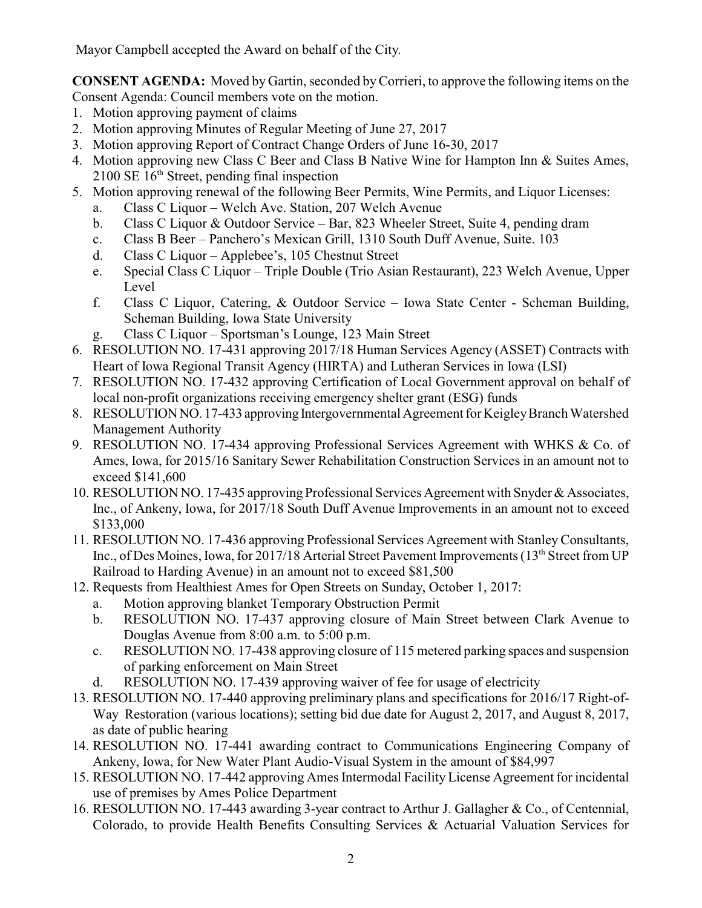Mayor Campbell accepted the Award on behalf of the City.

**CONSENT AGENDA:** Moved by Gartin, seconded byCorrieri, to approve the following items on the Consent Agenda: Council members vote on the motion.

- 1. Motion approving payment of claims
- 2. Motion approving Minutes of Regular Meeting of June 27, 2017
- 3. Motion approving Report of Contract Change Orders of June 16-30, 2017
- 4. Motion approving new Class C Beer and Class B Native Wine for Hampton Inn & Suites Ames, 2100 SE 16<sup>th</sup> Street, pending final inspection
- 5. Motion approving renewal of the following Beer Permits, Wine Permits, and Liquor Licenses:
	- a. Class C Liquor Welch Ave. Station, 207 Welch Avenue
	- b. Class C Liquor & Outdoor Service Bar, 823 Wheeler Street, Suite 4, pending dram
	- c. Class B Beer Panchero's Mexican Grill, 1310 South Duff Avenue, Suite. 103
	- d. Class C Liquor Applebee's, 105 Chestnut Street
	- e. Special Class C Liquor Triple Double (Trio Asian Restaurant), 223 Welch Avenue, Upper Level
	- f. Class C Liquor, Catering, & Outdoor Service Iowa State Center Scheman Building, Scheman Building, Iowa State University
	- g. Class C Liquor Sportsman's Lounge, 123 Main Street
- 6. RESOLUTION NO. 17-431 approving 2017/18 Human Services Agency (ASSET) Contracts with Heart of Iowa Regional Transit Agency (HIRTA) and Lutheran Services in Iowa (LSI)
- 7. RESOLUTION NO. 17-432 approving Certification of Local Government approval on behalf of local non-profit organizations receiving emergency shelter grant (ESG) funds
- 8. RESOLUTIONNO. 17-433 approving Intergovernmental Agreement for KeigleyBranch Watershed Management Authority
- 9. RESOLUTION NO. 17-434 approving Professional Services Agreement with WHKS & Co. of Ames, Iowa, for 2015/16 Sanitary Sewer Rehabilitation Construction Services in an amount not to exceed \$141,600
- 10. RESOLUTION NO. 17-435 approving Professional Services Agreement with Snyder & Associates, Inc., of Ankeny, Iowa, for 2017/18 South Duff Avenue Improvements in an amount not to exceed \$133,000
- 11. RESOLUTION NO. 17-436 approving Professional Services Agreement with Stanley Consultants, Inc., of Des Moines, Iowa, for 2017/18 Arterial Street Pavement Improvements (13<sup>th</sup> Street from UP Railroad to Harding Avenue) in an amount not to exceed \$81,500
- 12. Requests from Healthiest Ames for Open Streets on Sunday, October 1, 2017:
	- a. Motion approving blanket Temporary Obstruction Permit
	- b. RESOLUTION NO. 17-437 approving closure of Main Street between Clark Avenue to Douglas Avenue from 8:00 a.m. to 5:00 p.m.
	- c. RESOLUTION NO. 17-438 approving closure of 115 metered parking spaces and suspension of parking enforcement on Main Street
	- d. RESOLUTION NO. 17-439 approving waiver of fee for usage of electricity
- 13. RESOLUTION NO. 17-440 approving preliminary plans and specifications for 2016/17 Right-of-Way Restoration (various locations); setting bid due date for August 2, 2017, and August 8, 2017, as date of public hearing
- 14. RESOLUTION NO. 17-441 awarding contract to Communications Engineering Company of Ankeny, Iowa, for New Water Plant Audio-Visual System in the amount of \$84,997
- 15. RESOLUTION NO. 17-442 approving Ames Intermodal Facility License Agreement for incidental use of premises by Ames Police Department
- 16. RESOLUTION NO. 17-443 awarding 3-year contract to Arthur J. Gallagher & Co., of Centennial, Colorado, to provide Health Benefits Consulting Services & Actuarial Valuation Services for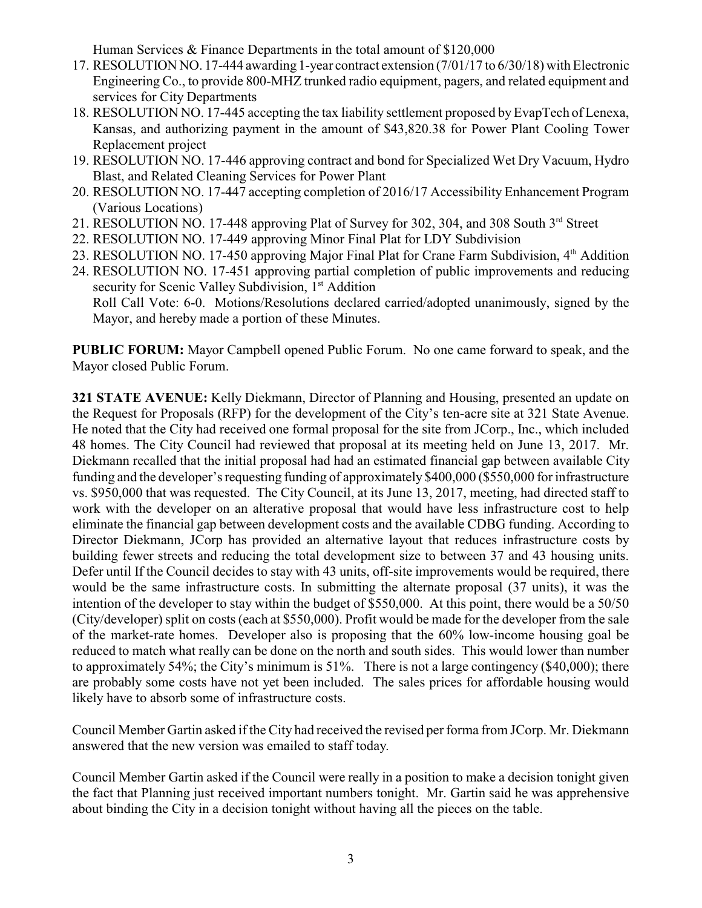Human Services & Finance Departments in the total amount of \$120,000

- 17. RESOLUTION NO. 17-444 awarding 1-year contract extension (7/01/17 to 6/30/18) with Electronic Engineering Co., to provide 800-MHZ trunked radio equipment, pagers, and related equipment and services for City Departments
- 18. RESOLUTION NO. 17-445 accepting the tax liability settlement proposed by EvapTech of Lenexa, Kansas, and authorizing payment in the amount of \$43,820.38 for Power Plant Cooling Tower Replacement project
- 19. RESOLUTION NO. 17-446 approving contract and bond for Specialized Wet Dry Vacuum, Hydro Blast, and Related Cleaning Services for Power Plant
- 20. RESOLUTION NO. 17-447 accepting completion of 2016/17 Accessibility Enhancement Program (Various Locations)
- 21. RESOLUTION NO. 17-448 approving Plat of Survey for 302, 304, and 308 South 3<sup>rd</sup> Street
- 22. RESOLUTION NO. 17-449 approving Minor Final Plat for LDY Subdivision
- 23. RESOLUTION NO. 17-450 approving Major Final Plat for Crane Farm Subdivision, 4<sup>th</sup> Addition
- 24. RESOLUTION NO. 17-451 approving partial completion of public improvements and reducing security for Scenic Valley Subdivision, 1<sup>st</sup> Addition Roll Call Vote: 6-0. Motions/Resolutions declared carried/adopted unanimously, signed by the Mayor, and hereby made a portion of these Minutes.

**PUBLIC FORUM:** Mayor Campbell opened Public Forum. No one came forward to speak, and the Mayor closed Public Forum.

**321 STATE AVENUE:** Kelly Diekmann, Director of Planning and Housing, presented an update on the Request for Proposals (RFP) for the development of the City's ten-acre site at 321 State Avenue. He noted that the City had received one formal proposal for the site from JCorp., Inc., which included 48 homes. The City Council had reviewed that proposal at its meeting held on June 13, 2017. Mr. Diekmann recalled that the initial proposal had had an estimated financial gap between available City funding and the developer's requesting funding of approximately \$400,000 (\$550,000 for infrastructure vs. \$950,000 that was requested. The City Council, at its June 13, 2017, meeting, had directed staff to work with the developer on an alterative proposal that would have less infrastructure cost to help eliminate the financial gap between development costs and the available CDBG funding. According to Director Diekmann, JCorp has provided an alternative layout that reduces infrastructure costs by building fewer streets and reducing the total development size to between 37 and 43 housing units. Defer until If the Council decides to stay with 43 units, off-site improvements would be required, there would be the same infrastructure costs. In submitting the alternate proposal (37 units), it was the intention of the developer to stay within the budget of \$550,000. At this point, there would be a 50/50 (City/developer) split on costs (each at \$550,000). Profit would be made for the developer from the sale of the market-rate homes. Developer also is proposing that the 60% low-income housing goal be reduced to match what really can be done on the north and south sides. This would lower than number to approximately 54%; the City's minimum is 51%. There is not a large contingency (\$40,000); there are probably some costs have not yet been included. The sales prices for affordable housing would likely have to absorb some of infrastructure costs.

Council Member Gartin asked if the City had received the revised per forma from JCorp. Mr. Diekmann answered that the new version was emailed to staff today.

Council Member Gartin asked if the Council were really in a position to make a decision tonight given the fact that Planning just received important numbers tonight. Mr. Gartin said he was apprehensive about binding the City in a decision tonight without having all the pieces on the table.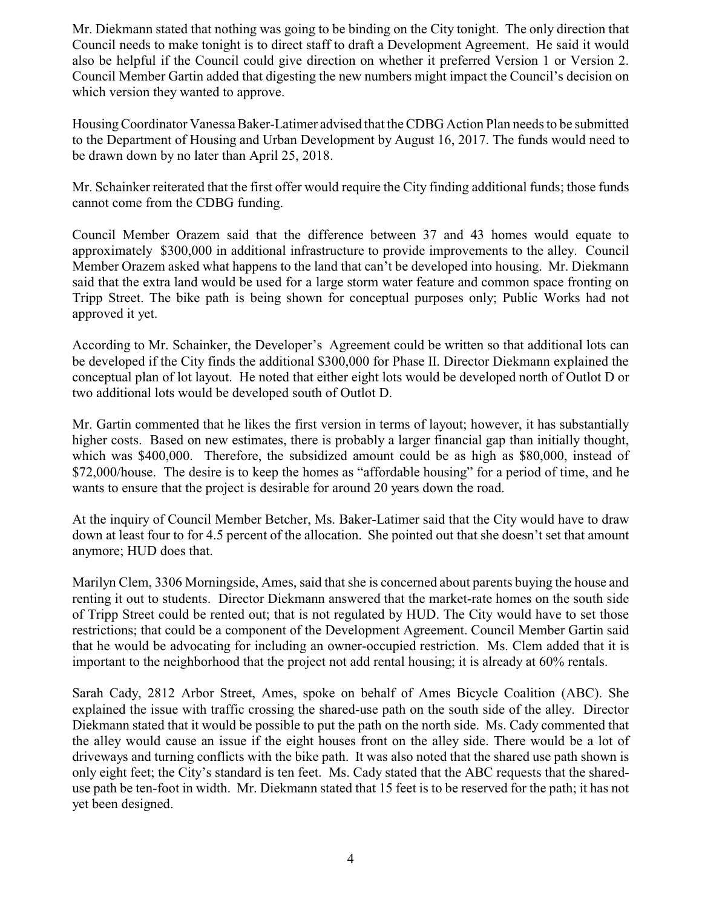Mr. Diekmann stated that nothing was going to be binding on the City tonight. The only direction that Council needs to make tonight is to direct staff to draft a Development Agreement. He said it would also be helpful if the Council could give direction on whether it preferred Version 1 or Version 2. Council Member Gartin added that digesting the new numbers might impact the Council's decision on which version they wanted to approve.

HousingCoordinator Vanessa Baker-Latimer advised that the CDBG Action Plan needs to be submitted to the Department of Housing and Urban Development by August 16, 2017. The funds would need to be drawn down by no later than April 25, 2018.

Mr. Schainker reiterated that the first offer would require the City finding additional funds; those funds cannot come from the CDBG funding.

Council Member Orazem said that the difference between 37 and 43 homes would equate to approximately \$300,000 in additional infrastructure to provide improvements to the alley. Council Member Orazem asked what happens to the land that can't be developed into housing. Mr. Diekmann said that the extra land would be used for a large storm water feature and common space fronting on Tripp Street. The bike path is being shown for conceptual purposes only; Public Works had not approved it yet.

According to Mr. Schainker, the Developer's Agreement could be written so that additional lots can be developed if the City finds the additional \$300,000 for Phase II. Director Diekmann explained the conceptual plan of lot layout. He noted that either eight lots would be developed north of Outlot D or two additional lots would be developed south of Outlot D.

Mr. Gartin commented that he likes the first version in terms of layout; however, it has substantially higher costs. Based on new estimates, there is probably a larger financial gap than initially thought, which was \$400,000. Therefore, the subsidized amount could be as high as \$80,000, instead of \$72,000/house. The desire is to keep the homes as "affordable housing" for a period of time, and he wants to ensure that the project is desirable for around 20 years down the road.

At the inquiry of Council Member Betcher, Ms. Baker-Latimer said that the City would have to draw down at least four to for 4.5 percent of the allocation. She pointed out that she doesn't set that amount anymore; HUD does that.

Marilyn Clem, 3306 Morningside, Ames, said that she is concerned about parents buying the house and renting it out to students. Director Diekmann answered that the market-rate homes on the south side of Tripp Street could be rented out; that is not regulated by HUD. The City would have to set those restrictions; that could be a component of the Development Agreement. Council Member Gartin said that he would be advocating for including an owner-occupied restriction. Ms. Clem added that it is important to the neighborhood that the project not add rental housing; it is already at 60% rentals.

Sarah Cady, 2812 Arbor Street, Ames, spoke on behalf of Ames Bicycle Coalition (ABC). She explained the issue with traffic crossing the shared-use path on the south side of the alley. Director Diekmann stated that it would be possible to put the path on the north side. Ms. Cady commented that the alley would cause an issue if the eight houses front on the alley side. There would be a lot of driveways and turning conflicts with the bike path. It was also noted that the shared use path shown is only eight feet; the City's standard is ten feet. Ms. Cady stated that the ABC requests that the shareduse path be ten-foot in width. Mr. Diekmann stated that 15 feet is to be reserved for the path; it has not yet been designed.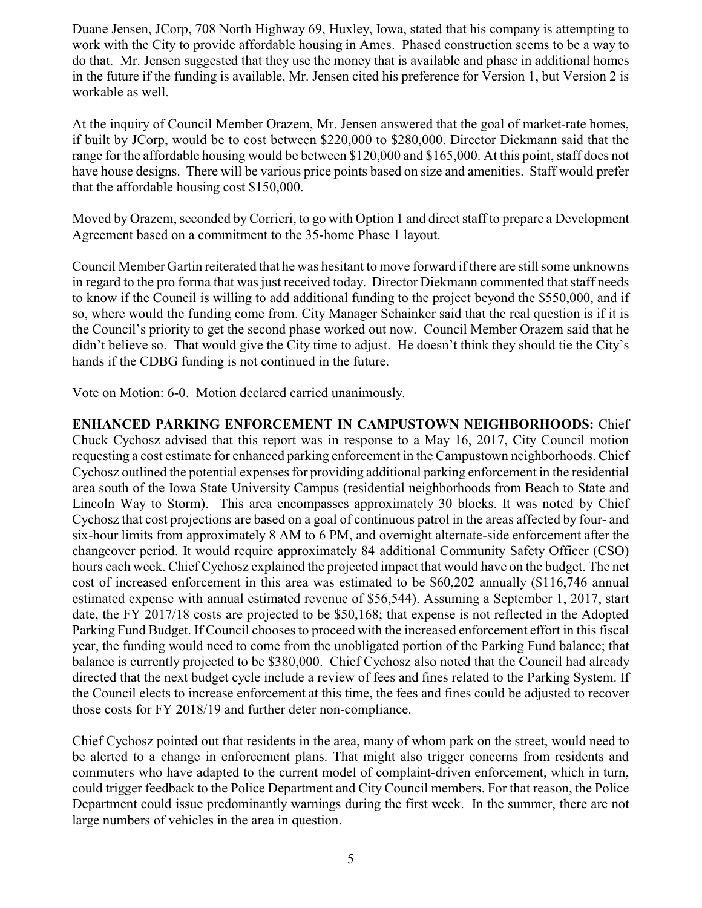Duane Jensen, JCorp, 708 North Highway 69, Huxley, Iowa, stated that his company is attempting to work with the City to provide affordable housing in Ames. Phased construction seems to be a way to do that. Mr. Jensen suggested that they use the money that is available and phase in additional homes in the future if the funding is available. Mr. Jensen cited his preference for Version 1, but Version 2 is workable as well.

At the inquiry of Council Member Orazem, Mr. Jensen answered that the goal of market-rate homes, if built by JCorp, would be to cost between \$220,000 to \$280,000. Director Diekmann said that the range for the affordable housing would be between \$120,000 and \$165,000. At this point, staff does not have house designs. There will be various price points based on size and amenities. Staff would prefer that the affordable housing cost \$150,000.

Moved by Orazem, seconded byCorrieri, to go with Option 1 and direct staff to prepare a Development Agreement based on a commitment to the 35-home Phase 1 layout.

Council Member Gartin reiterated that he was hesitant to move forward if there are still some unknowns in regard to the pro forma that was just received today. Director Diekmann commented that staff needs to know if the Council is willing to add additional funding to the project beyond the \$550,000, and if so, where would the funding come from. City Manager Schainker said that the real question is if it is the Council's priority to get the second phase worked out now. Council Member Orazem said that he didn't believe so. That would give the City time to adjust. He doesn't think they should tie the City's hands if the CDBG funding is not continued in the future.

Vote on Motion: 6-0. Motion declared carried unanimously.

**ENHANCED PARKING ENFORCEMENT IN CAMPUSTOWN NEIGHBORHOODS:** Chief Chuck Cychosz advised that this report was in response to a May 16, 2017, City Council motion requesting a cost estimate for enhanced parking enforcement in the Campustown neighborhoods. Chief Cychosz outlined the potential expenses for providing additional parking enforcement in the residential area south of the Iowa State University Campus (residential neighborhoods from Beach to State and Lincoln Way to Storm). This area encompasses approximately 30 blocks. It was noted by Chief Cychosz that cost projections are based on a goal of continuous patrol in the areas affected by four- and six-hour limits from approximately 8 AM to 6 PM, and overnight alternate-side enforcement after the changeover period. It would require approximately 84 additional Community Safety Officer (CSO) hours each week. Chief Cychosz explained the projected impact that would have on the budget. The net cost of increased enforcement in this area was estimated to be \$60,202 annually (\$116,746 annual estimated expense with annual estimated revenue of \$56,544). Assuming a September 1, 2017, start date, the FY 2017/18 costs are projected to be \$50,168; that expense is not reflected in the Adopted Parking Fund Budget. If Council chooses to proceed with the increased enforcement effort in this fiscal year, the funding would need to come from the unobligated portion of the Parking Fund balance; that balance is currently projected to be \$380,000. Chief Cychosz also noted that the Council had already directed that the next budget cycle include a review of fees and fines related to the Parking System. If the Council elects to increase enforcement at this time, the fees and fines could be adjusted to recover those costs for FY 2018/19 and further deter non-compliance.

Chief Cychosz pointed out that residents in the area, many of whom park on the street, would need to be alerted to a change in enforcement plans. That might also trigger concerns from residents and commuters who have adapted to the current model of complaint-driven enforcement, which in turn, could trigger feedback to the Police Department and City Council members. For that reason, the Police Department could issue predominantly warnings during the first week. In the summer, there are not large numbers of vehicles in the area in question.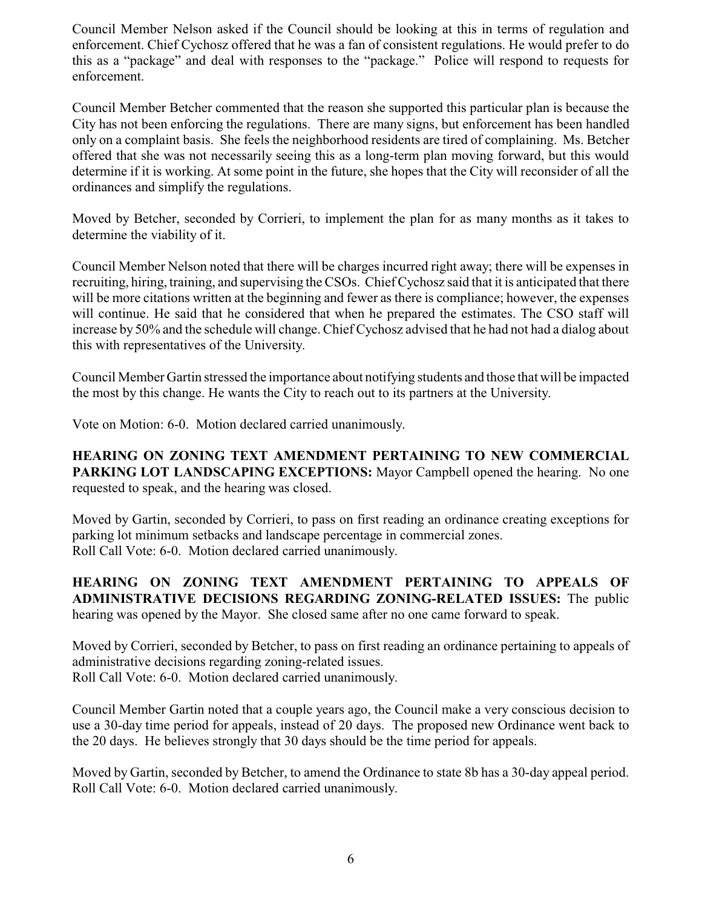Council Member Nelson asked if the Council should be looking at this in terms of regulation and enforcement. Chief Cychosz offered that he was a fan of consistent regulations. He would prefer to do this as a "package" and deal with responses to the "package." Police will respond to requests for enforcement.

Council Member Betcher commented that the reason she supported this particular plan is because the City has not been enforcing the regulations. There are many signs, but enforcement has been handled only on a complaint basis. She feels the neighborhood residents are tired of complaining. Ms. Betcher offered that she was not necessarily seeing this as a long-term plan moving forward, but this would determine if it is working. At some point in the future, she hopes that the City will reconsider of all the ordinances and simplify the regulations.

Moved by Betcher, seconded by Corrieri, to implement the plan for as many months as it takes to determine the viability of it.

Council Member Nelson noted that there will be charges incurred right away; there will be expenses in recruiting, hiring, training, and supervising the CSOs. Chief Cychosz said that it is anticipated that there will be more citations written at the beginning and fewer as there is compliance; however, the expenses will continue. He said that he considered that when he prepared the estimates. The CSO staff will increase by 50% and the schedule will change. Chief Cychosz advised that he had not had a dialog about this with representatives of the University.

Council Member Gartin stressed the importance about notifying students and those that will be impacted the most by this change. He wants the City to reach out to its partners at the University.

Vote on Motion: 6-0. Motion declared carried unanimously.

**HEARING ON ZONING TEXT AMENDMENT PERTAINING TO NEW COMMERCIAL PARKING LOT LANDSCAPING EXCEPTIONS:** Mayor Campbell opened the hearing. No one requested to speak, and the hearing was closed.

Moved by Gartin, seconded by Corrieri, to pass on first reading an ordinance creating exceptions for parking lot minimum setbacks and landscape percentage in commercial zones. Roll Call Vote: 6-0. Motion declared carried unanimously.

**HEARING ON ZONING TEXT AMENDMENT PERTAINING TO APPEALS OF ADMINISTRATIVE DECISIONS REGARDING ZONING-RELATED ISSUES:** The public hearing was opened by the Mayor. She closed same after no one came forward to speak.

Moved by Corrieri, seconded by Betcher, to pass on first reading an ordinance pertaining to appeals of administrative decisions regarding zoning-related issues. Roll Call Vote: 6-0. Motion declared carried unanimously.

Council Member Gartin noted that a couple years ago, the Council make a very conscious decision to use a 30-day time period for appeals, instead of 20 days. The proposed new Ordinance went back to the 20 days. He believes strongly that 30 days should be the time period for appeals.

Moved by Gartin, seconded by Betcher, to amend the Ordinance to state 8b has a 30-day appeal period. Roll Call Vote: 6-0. Motion declared carried unanimously.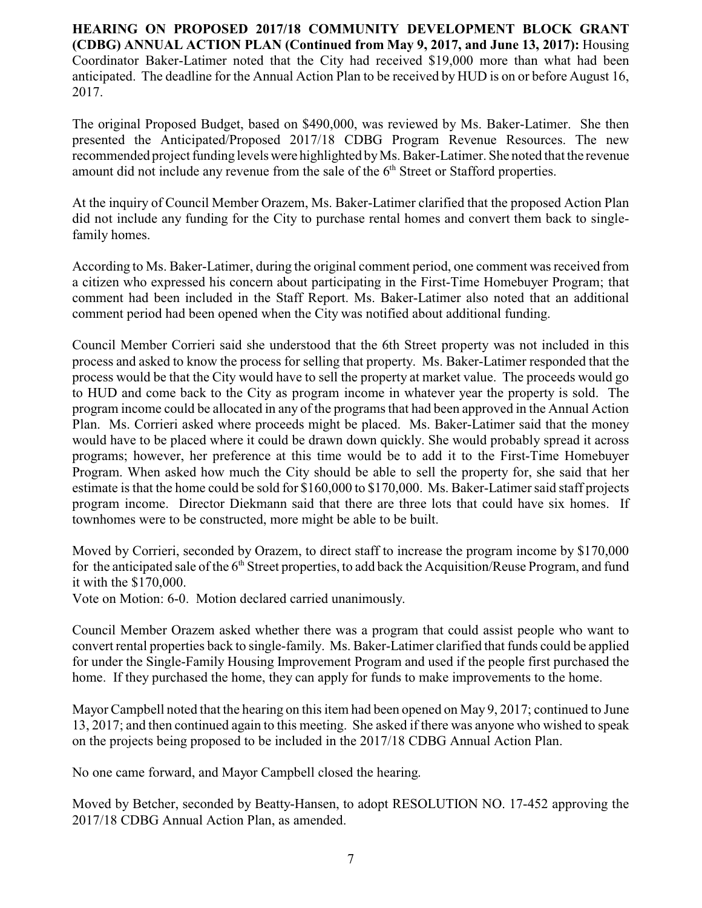**HEARING ON PROPOSED 2017/18 COMMUNITY DEVELOPMENT BLOCK GRANT (CDBG) ANNUAL ACTION PLAN (Continued from May 9, 2017, and June 13, 2017):** Housing Coordinator Baker-Latimer noted that the City had received \$19,000 more than what had been anticipated. The deadline for the Annual Action Plan to be received by HUD is on or before August 16, 2017.

The original Proposed Budget, based on \$490,000, was reviewed by Ms. Baker-Latimer. She then presented the Anticipated/Proposed 2017/18 CDBG Program Revenue Resources. The new recommended project funding levels were highlighted byMs. Baker-Latimer. She noted that the revenue amount did not include any revenue from the sale of the  $6<sup>th</sup>$  Street or Stafford properties.

At the inquiry of Council Member Orazem, Ms. Baker-Latimer clarified that the proposed Action Plan did not include any funding for the City to purchase rental homes and convert them back to singlefamily homes.

According to Ms. Baker-Latimer, during the original comment period, one comment was received from a citizen who expressed his concern about participating in the First-Time Homebuyer Program; that comment had been included in the Staff Report. Ms. Baker-Latimer also noted that an additional comment period had been opened when the City was notified about additional funding.

Council Member Corrieri said she understood that the 6th Street property was not included in this process and asked to know the process for selling that property. Ms. Baker-Latimer responded that the process would be that the City would have to sell the property at market value. The proceeds would go to HUD and come back to the City as program income in whatever year the property is sold. The program income could be allocated in any of the programs that had been approved in the Annual Action Plan. Ms. Corrieri asked where proceeds might be placed. Ms. Baker-Latimer said that the money would have to be placed where it could be drawn down quickly. She would probably spread it across programs; however, her preference at this time would be to add it to the First-Time Homebuyer Program. When asked how much the City should be able to sell the property for, she said that her estimate is that the home could be sold for \$160,000 to \$170,000. Ms. Baker-Latimer said staff projects program income. Director Diekmann said that there are three lots that could have six homes. If townhomes were to be constructed, more might be able to be built.

Moved by Corrieri, seconded by Orazem, to direct staff to increase the program income by \$170,000 for the anticipated sale of the 6<sup>th</sup> Street properties, to add back the Acquisition/Reuse Program, and fund it with the \$170,000.

Vote on Motion: 6-0. Motion declared carried unanimously.

Council Member Orazem asked whether there was a program that could assist people who want to convert rental properties back to single-family. Ms. Baker-Latimer clarified that funds could be applied for under the Single-Family Housing Improvement Program and used if the people first purchased the home. If they purchased the home, they can apply for funds to make improvements to the home.

Mayor Campbell noted that the hearing on this item had been opened on May 9, 2017; continued to June 13, 2017; and then continued again to this meeting. She asked if there was anyone who wished to speak on the projects being proposed to be included in the 2017/18 CDBG Annual Action Plan.

No one came forward, and Mayor Campbell closed the hearing.

Moved by Betcher, seconded by Beatty-Hansen, to adopt RESOLUTION NO. 17-452 approving the 2017/18 CDBG Annual Action Plan, as amended.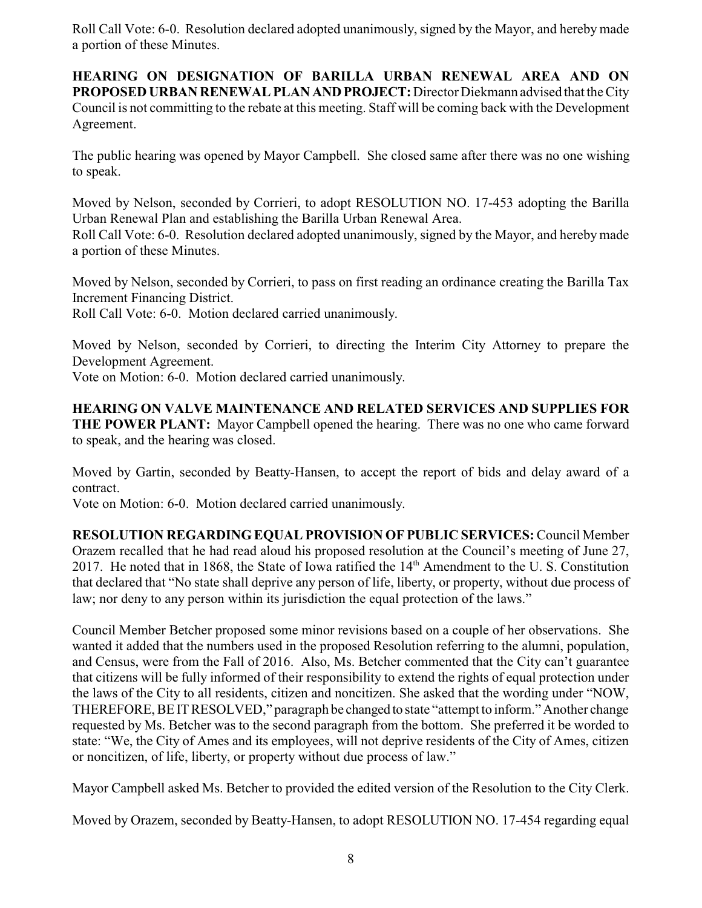Roll Call Vote: 6-0. Resolution declared adopted unanimously, signed by the Mayor, and hereby made a portion of these Minutes.

**HEARING ON DESIGNATION OF BARILLA URBAN RENEWAL AREA AND ON PROPOSED URBAN RENEWAL PLAN ANDPROJECT:**Director Diekmann advised that the City Council is not committing to the rebate at this meeting. Staff will be coming back with the Development Agreement.

The public hearing was opened by Mayor Campbell. She closed same after there was no one wishing to speak.

Moved by Nelson, seconded by Corrieri, to adopt RESOLUTION NO. 17-453 adopting the Barilla Urban Renewal Plan and establishing the Barilla Urban Renewal Area.

Roll Call Vote: 6-0. Resolution declared adopted unanimously, signed by the Mayor, and hereby made a portion of these Minutes.

Moved by Nelson, seconded by Corrieri, to pass on first reading an ordinance creating the Barilla Tax Increment Financing District.

Roll Call Vote: 6-0. Motion declared carried unanimously.

Moved by Nelson, seconded by Corrieri, to directing the Interim City Attorney to prepare the Development Agreement.

Vote on Motion: 6-0. Motion declared carried unanimously.

**HEARING ON VALVE MAINTENANCE AND RELATED SERVICES AND SUPPLIES FOR THE POWER PLANT:** Mayor Campbell opened the hearing. There was no one who came forward to speak, and the hearing was closed.

Moved by Gartin, seconded by Beatty-Hansen, to accept the report of bids and delay award of a contract.

Vote on Motion: 6-0. Motion declared carried unanimously.

**RESOLUTION REGARDING EQUAL PROVISION OF PUBLIC SERVICES:** Council Member Orazem recalled that he had read aloud his proposed resolution at the Council's meeting of June 27, 2017. He noted that in 1868, the State of Iowa ratified the 14<sup>th</sup> Amendment to the U.S. Constitution that declared that "No state shall deprive any person of life, liberty, or property, without due process of law; nor deny to any person within its jurisdiction the equal protection of the laws."

Council Member Betcher proposed some minor revisions based on a couple of her observations. She wanted it added that the numbers used in the proposed Resolution referring to the alumni, population, and Census, were from the Fall of 2016. Also, Ms. Betcher commented that the City can't guarantee that citizens will be fully informed of their responsibility to extend the rights of equal protection under the laws of the City to all residents, citizen and noncitizen. She asked that the wording under "NOW, THEREFORE, BEITRESOLVED," paragraph be changed to state "attempt to inform." Another change requested by Ms. Betcher was to the second paragraph from the bottom. She preferred it be worded to state: "We, the City of Ames and its employees, will not deprive residents of the City of Ames, citizen or noncitizen, of life, liberty, or property without due process of law."

Mayor Campbell asked Ms. Betcher to provided the edited version of the Resolution to the City Clerk.

Moved by Orazem, seconded by Beatty-Hansen, to adopt RESOLUTION NO. 17-454 regarding equal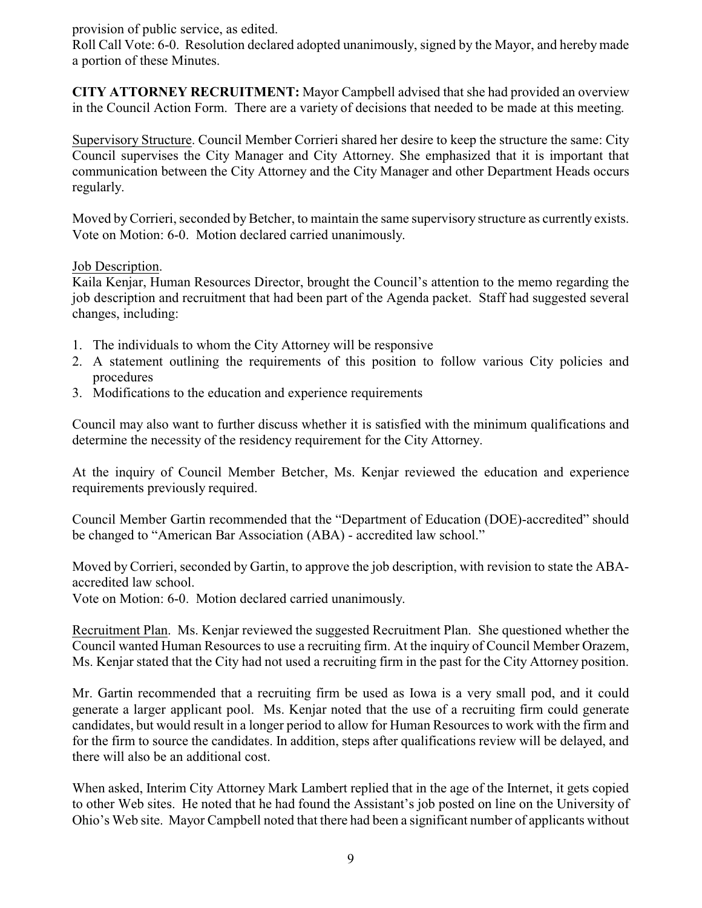provision of public service, as edited.

Roll Call Vote: 6-0. Resolution declared adopted unanimously, signed by the Mayor, and hereby made a portion of these Minutes.

**CITY ATTORNEY RECRUITMENT:** Mayor Campbell advised that she had provided an overview in the Council Action Form. There are a variety of decisions that needed to be made at this meeting.

Supervisory Structure. Council Member Corrieri shared her desire to keep the structure the same: City Council supervises the City Manager and City Attorney. She emphasized that it is important that communication between the City Attorney and the City Manager and other Department Heads occurs regularly.

Moved by Corrieri, seconded by Betcher, to maintain the same supervisory structure as currently exists. Vote on Motion: 6-0. Motion declared carried unanimously.

# Job Description.

Kaila Kenjar, Human Resources Director, brought the Council's attention to the memo regarding the job description and recruitment that had been part of the Agenda packet. Staff had suggested several changes, including:

- 1. The individuals to whom the City Attorney will be responsive
- 2. A statement outlining the requirements of this position to follow various City policies and procedures
- 3. Modifications to the education and experience requirements

Council may also want to further discuss whether it is satisfied with the minimum qualifications and determine the necessity of the residency requirement for the City Attorney.

At the inquiry of Council Member Betcher, Ms. Kenjar reviewed the education and experience requirements previously required.

Council Member Gartin recommended that the "Department of Education (DOE)-accredited" should be changed to "American Bar Association (ABA) - accredited law school."

Moved by Corrieri, seconded by Gartin, to approve the job description, with revision to state the ABAaccredited law school.

Vote on Motion: 6-0. Motion declared carried unanimously.

Recruitment Plan. Ms. Kenjar reviewed the suggested Recruitment Plan. She questioned whether the Council wanted Human Resources to use a recruiting firm. At the inquiry of Council Member Orazem, Ms. Kenjar stated that the City had not used a recruiting firm in the past for the City Attorney position.

Mr. Gartin recommended that a recruiting firm be used as Iowa is a very small pod, and it could generate a larger applicant pool. Ms. Kenjar noted that the use of a recruiting firm could generate candidates, but would result in a longer period to allow for Human Resources to work with the firm and for the firm to source the candidates. In addition, steps after qualifications review will be delayed, and there will also be an additional cost.

When asked, Interim City Attorney Mark Lambert replied that in the age of the Internet, it gets copied to other Web sites. He noted that he had found the Assistant's job posted on line on the University of Ohio's Web site. Mayor Campbell noted that there had been a significant number of applicants without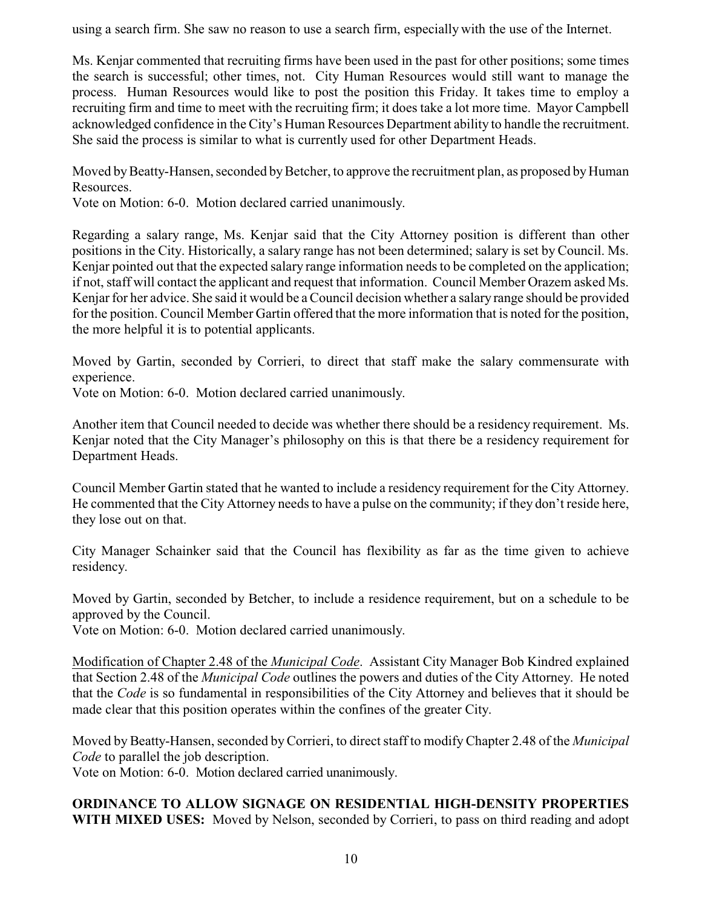using a search firm. She saw no reason to use a search firm, especially with the use of the Internet.

Ms. Kenjar commented that recruiting firms have been used in the past for other positions; some times the search is successful; other times, not. City Human Resources would still want to manage the process. Human Resources would like to post the position this Friday. It takes time to employ a recruiting firm and time to meet with the recruiting firm; it does take a lot more time. Mayor Campbell acknowledged confidence in the City's Human Resources Department ability to handle the recruitment. She said the process is similar to what is currently used for other Department Heads.

Moved by Beatty-Hansen, seconded by Betcher, to approve the recruitment plan, as proposed by Human Resources.

Vote on Motion: 6-0. Motion declared carried unanimously.

Regarding a salary range, Ms. Kenjar said that the City Attorney position is different than other positions in the City. Historically, a salary range has not been determined; salary is set by Council. Ms. Kenjar pointed out that the expected salary range information needs to be completed on the application; if not, staff will contact the applicant and request that information. Council Member Orazem asked Ms. Kenjar for her advice. She said it would be aCouncil decision whether a salary range should be provided for the position. Council Member Gartin offered that the more information that is noted for the position, the more helpful it is to potential applicants.

Moved by Gartin, seconded by Corrieri, to direct that staff make the salary commensurate with experience.

Vote on Motion: 6-0. Motion declared carried unanimously.

Another item that Council needed to decide was whether there should be a residency requirement. Ms. Kenjar noted that the City Manager's philosophy on this is that there be a residency requirement for Department Heads.

Council Member Gartin stated that he wanted to include a residency requirement for the City Attorney. He commented that the City Attorney needs to have a pulse on the community; if they don't reside here, they lose out on that.

City Manager Schainker said that the Council has flexibility as far as the time given to achieve residency.

Moved by Gartin, seconded by Betcher, to include a residence requirement, but on a schedule to be approved by the Council.

Vote on Motion: 6-0. Motion declared carried unanimously.

Modification of Chapter 2.48 of the *Municipal Code*. Assistant City Manager Bob Kindred explained that Section 2.48 of the *Municipal Code* outlines the powers and duties of the City Attorney. He noted that the *Code* is so fundamental in responsibilities of the City Attorney and believes that it should be made clear that this position operates within the confines of the greater City.

Moved by Beatty-Hansen, seconded byCorrieri, to direct staff to modify Chapter 2.48 of the *Municipal Code* to parallel the job description.

Vote on Motion: 6-0. Motion declared carried unanimously.

# **ORDINANCE TO ALLOW SIGNAGE ON RESIDENTIAL HIGH-DENSITY PROPERTIES WITH MIXED USES:** Moved by Nelson, seconded by Corrieri, to pass on third reading and adopt